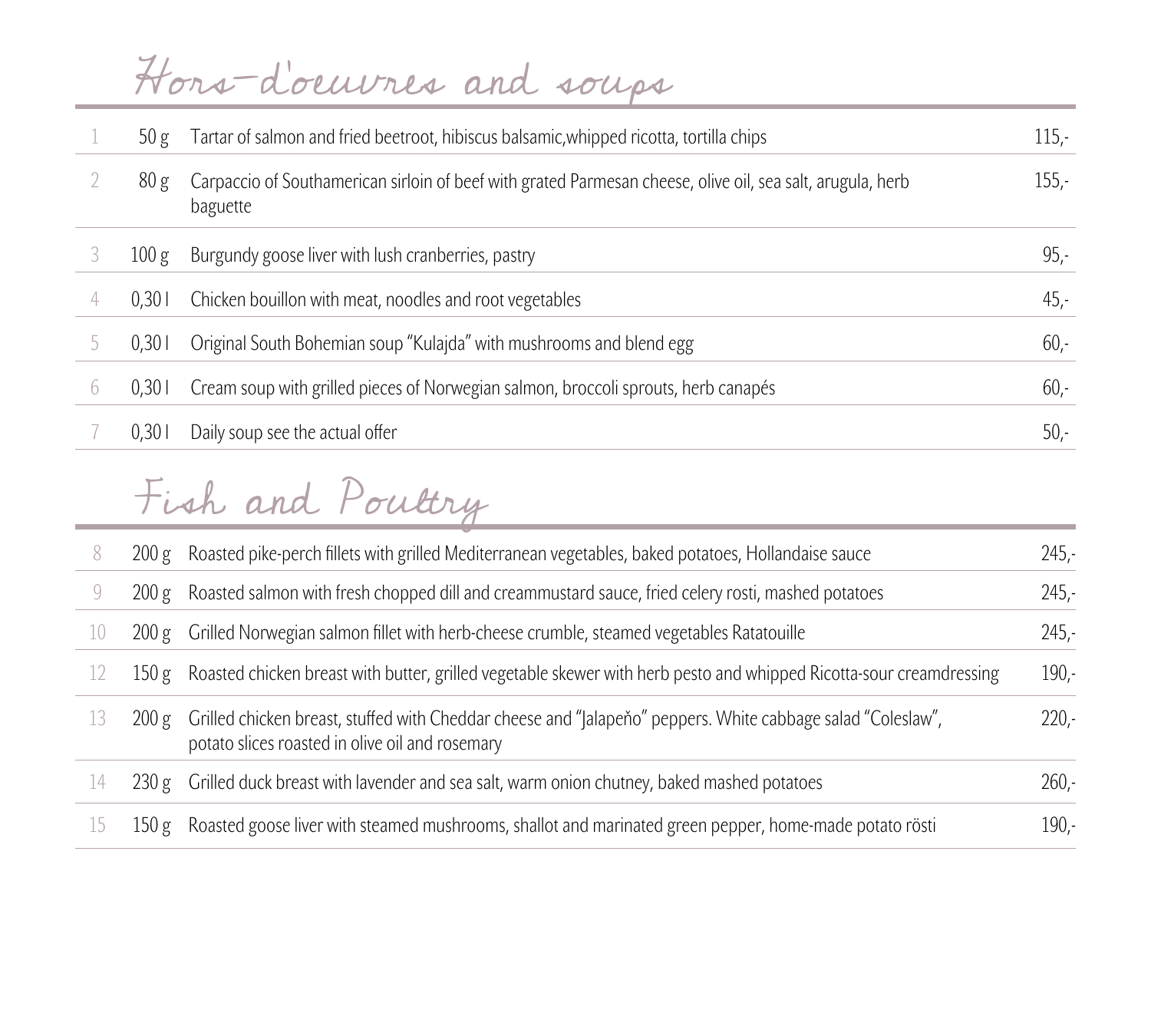|            |       | Hors-doeuvres and souss                                                                                                |         |
|------------|-------|------------------------------------------------------------------------------------------------------------------------|---------|
|            | 50 g  | Tartar of salmon and fried beetroot, hibiscus balsamic, whipped ricotta, tortilla chips                                | $115 -$ |
|            | 80 g  | Carpaccio of Southamerican sirloin of beef with grated Parmesan cheese, olive oil, sea salt, arugula, herb<br>baguette | $155 -$ |
|            | 100 g | Burgundy goose liver with lush cranberries, pastry                                                                     | $95 -$  |
|            | 0,301 | Chicken bouillon with meat, noodles and root vegetables                                                                | $45 -$  |
|            | 0,301 | Original South Bohemian soup "Kulajda" with mushrooms and blend egg                                                    | $60 -$  |
| $\sqrt{2}$ | 0,301 | Cream soup with grilled pieces of Norwegian salmon, broccoli sprouts, herb canapés                                     | $60 -$  |
|            | 0,301 | Daily soup see the actual offer                                                                                        | $50 -$  |

## Fish and Poultry

|               | 200 g | Roasted pike-perch fillets with grilled Mediterranean vegetables, baked potatoes, Hollandaise sauce                                                            | $245 -$  |
|---------------|-------|----------------------------------------------------------------------------------------------------------------------------------------------------------------|----------|
|               | 200 g | Roasted salmon with fresh chopped dill and creammustard sauce, fried celery rosti, mashed potatoes                                                             | $245. -$ |
| $\perp$ ()    | 200 g | Grilled Norwegian salmon fillet with herb-cheese crumble, steamed vegetables Ratatouille                                                                       | $245 -$  |
| 12            | 150 g | Roasted chicken breast with butter, grilled vegetable skewer with herb pesto and whipped Ricotta-sour creamdressing                                            | $190 -$  |
| 13            | 200 g | Grilled chicken breast, stuffed with Cheddar cheese and "Jalapeňo" peppers. White cabbage salad "Coleslaw",<br>potato slices roasted in olive oil and rosemary | $220 -$  |
| $\frac{1}{4}$ | 230 g | Grilled duck breast with lavender and sea salt, warm onion chutney, baked mashed potatoes                                                                      | $260 -$  |
| 15            | 150 g | Roasted goose liver with steamed mushrooms, shallot and marinated green pepper, home-made potato rösti                                                         | $190 -$  |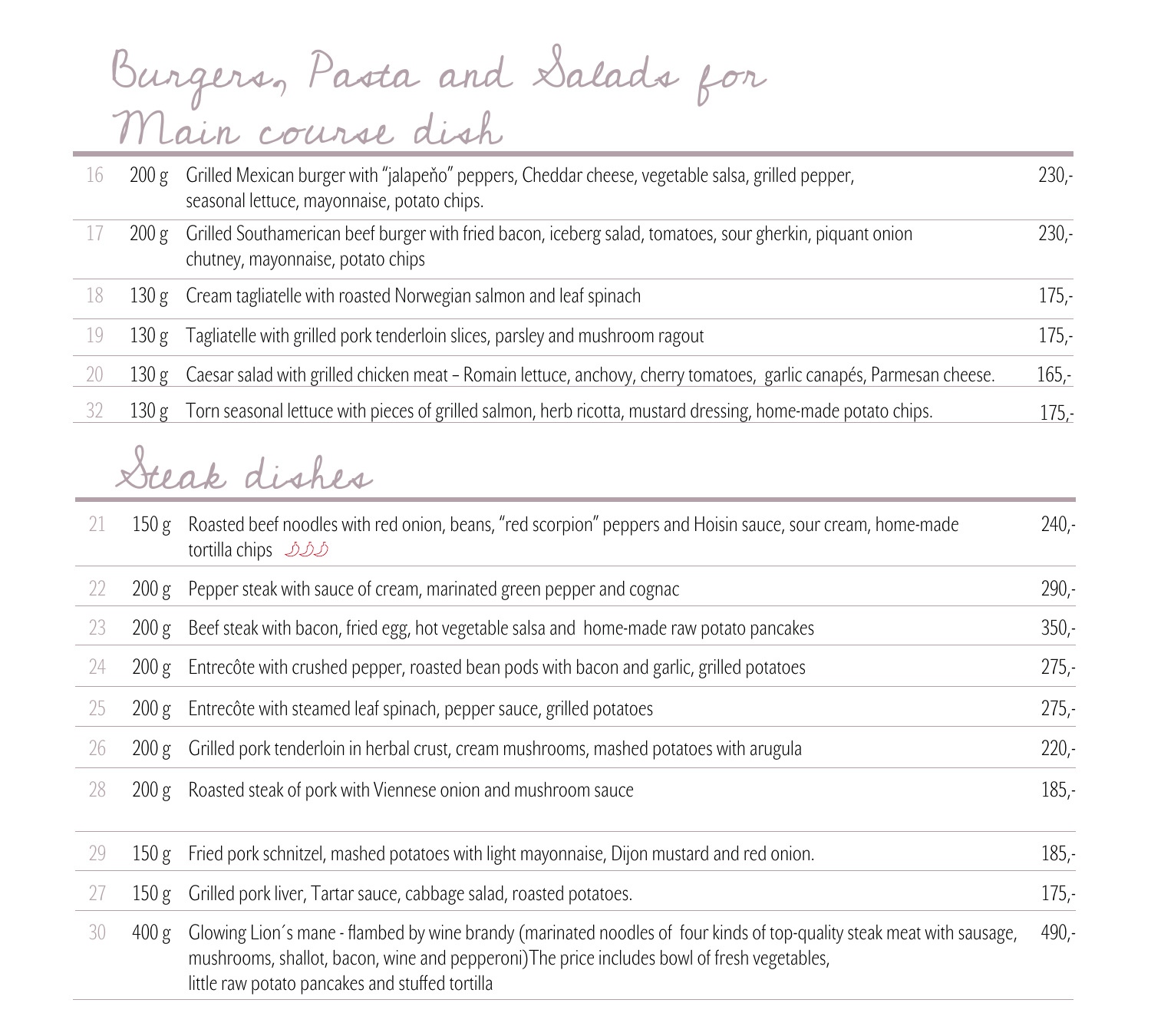## Burgers, Pasta and Salads for Main course dish

| 16 |       | 200 g Grilled Mexican burger with "jalapeňo" peppers, Cheddar cheese, vegetable salsa, grilled pepper,<br>seasonal lettuce, mayonnaise, potato chips. | $230 -$  |
|----|-------|-------------------------------------------------------------------------------------------------------------------------------------------------------|----------|
| 17 | 200 g | Grilled Southamerican beef burger with fried bacon, iceberg salad, tomatoes, sour gherkin, piquant onion<br>chutney, mayonnaise, potato chips         | $230 -$  |
| 18 |       | 130 g Cream tagliatelle with roasted Norwegian salmon and leaf spinach                                                                                | $175 -$  |
| 19 |       | 130 g Tagliatelle with grilled pork tenderloin slices, parsley and mushroom ragout                                                                    | $175 -$  |
| 20 |       | 130 g Caesar salad with grilled chicken meat - Romain lettuce, anchovy, cherry tomatoes, garlic canapés, Parmesan cheese.                             | $165 -$  |
| 32 |       | 130 g Torn seasonal lettuce with pieces of grilled salmon, herb ricotta, mustard dressing, home-made potato chips.                                    | $175. -$ |

## Steak dishes

| 21 | 150 g | Roasted beef noodles with red onion, beans, "red scorpion" peppers and Hoisin sauce, sour cream, home-made<br>tortilla chips 222                                                                                                                                        | $240 -$ |
|----|-------|-------------------------------------------------------------------------------------------------------------------------------------------------------------------------------------------------------------------------------------------------------------------------|---------|
| 22 | 200 g | Pepper steak with sauce of cream, marinated green pepper and cognac                                                                                                                                                                                                     | $290 -$ |
| 23 | 200 g | Beef steak with bacon, fried egg, hot vegetable salsa and home-made raw potato pancakes                                                                                                                                                                                 | $350 -$ |
| 24 | 200 g | Entrecôte with crushed pepper, roasted bean pods with bacon and garlic, grilled potatoes                                                                                                                                                                                | $275 -$ |
| 25 | 200 g | Entrecôte with steamed leaf spinach, pepper sauce, grilled potatoes                                                                                                                                                                                                     | $275 -$ |
| 26 | 200 g | Grilled pork tenderloin in herbal crust, cream mushrooms, mashed potatoes with arugula                                                                                                                                                                                  | $220 -$ |
| 28 | 200 g | Roasted steak of pork with Viennese onion and mushroom sauce                                                                                                                                                                                                            | $185 -$ |
| 29 | 150 g | Fried pork schnitzel, mashed potatoes with light mayonnaise, Dijon mustard and red onion.                                                                                                                                                                               | $185 -$ |
| 27 | 150 g | Grilled pork liver, Tartar sauce, cabbage salad, roasted potatoes.                                                                                                                                                                                                      | $175 -$ |
| 30 | 400 g | Glowing Lion's mane - flambed by wine brandy (marinated noodles of four kinds of top-quality steak meat with sausage,<br>mushrooms, shallot, bacon, wine and pepperoni) The price includes bowl of fresh vegetables,<br>little raw potato pancakes and stuffed tortilla | $490 -$ |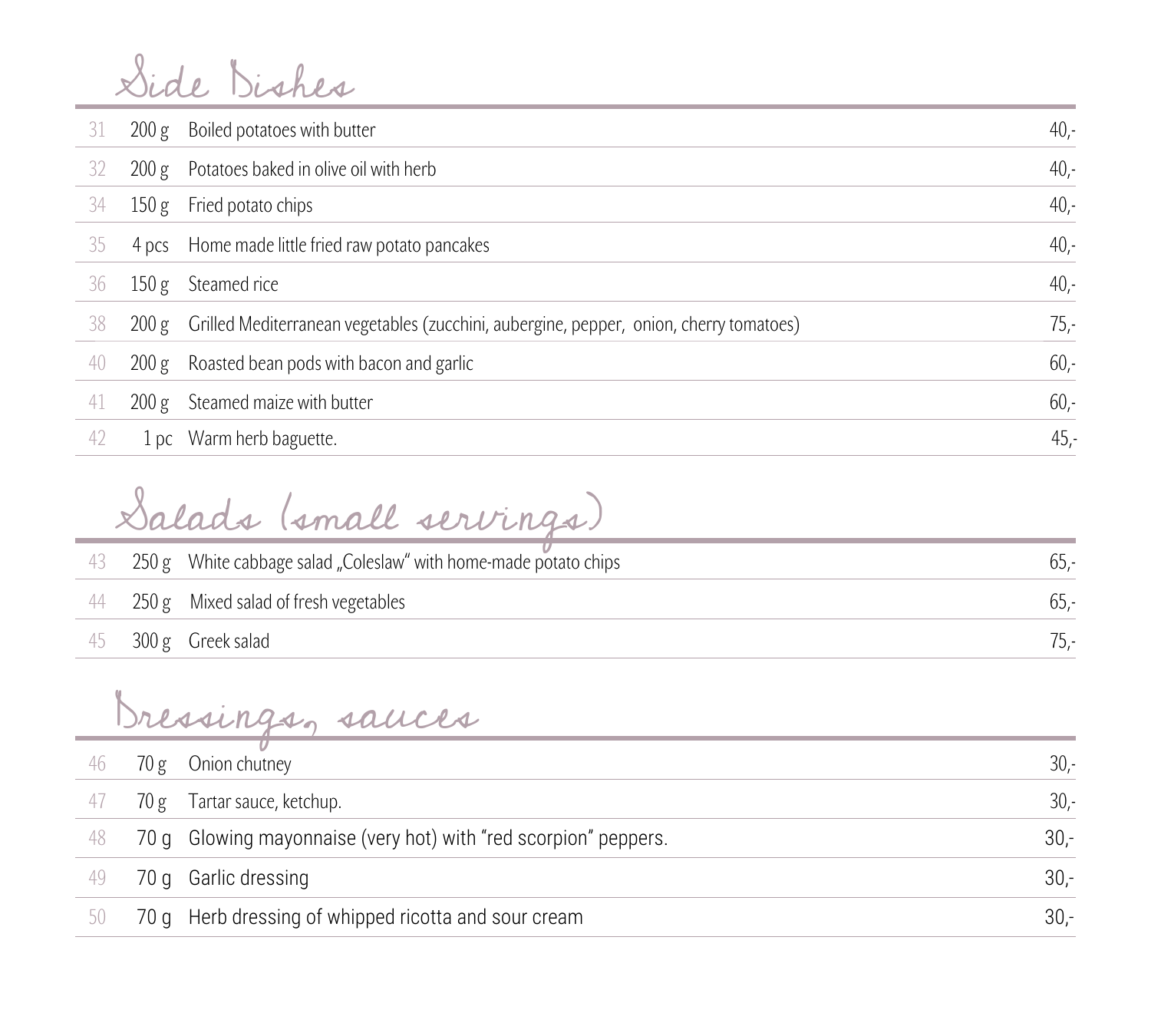Side Dishes

| 31 | 200 g | Boiled potatoes with butter                                                            | $40 -$ |
|----|-------|----------------------------------------------------------------------------------------|--------|
| 32 | 200 g | Potatoes baked in olive oil with herb                                                  | $40 -$ |
| 34 | 150 g | Fried potato chips                                                                     | $40,-$ |
| 35 | 4 pcs | Home made little fried raw potato pancakes                                             | $40 -$ |
| 36 | 150 g | Steamed rice                                                                           | $40 -$ |
| 38 | 200 g | Grilled Mediterranean vegetables (zucchini, aubergine, pepper, onion, cherry tomatoes) | $75 -$ |
| 40 | 200 g | Roasted bean pods with bacon and garlic                                                | $60 -$ |
| 41 | 200 g | Steamed maize with butter                                                              | $60 -$ |
| 42 | 1pc   | Warm herb baguette.                                                                    | 45.    |

Salads (small servings)

|  | 43 250 g White cabbage salad "Coleslaw" with home-made potato chips | 0.D.- |
|--|---------------------------------------------------------------------|-------|
|  | 44 250 g Mixed salad of fresh vegetables                            | -.CO  |
|  | $45$ 300 g Greek salad                                              | /5,-  |

Dressings, sauces

| 46 | 70 g | Onion chutney                                                   | $30 -$ |
|----|------|-----------------------------------------------------------------|--------|
| 4/ | 70 g | Tartar sauce, ketchup.                                          | $30 -$ |
| 48 |      | 70 g Glowing mayonnaise (very hot) with "red scorpion" peppers. | $30 -$ |
| 49 |      | 70 g Garlic dressing                                            | $30 -$ |
| 50 |      | 70 g Herb dressing of whipped ricotta and sour cream            | $30 -$ |